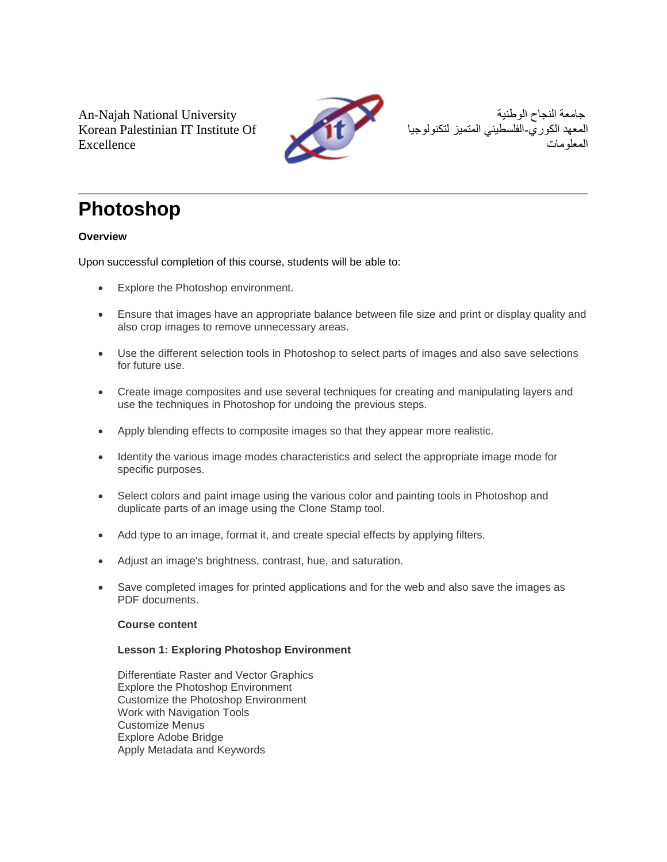An-Najah National University Korean Palestinian IT Institute Of Excellence



جامعة النجاح الوطنية المعهد الكوري-الفلسطيني المتميز لتكنولوجيا المعلومات

# **Photoshop**

## **Overview**

Upon successful completion of this course, students will be able to:

- Explore the Photoshop environment.
- Ensure that images have an appropriate balance between file size and print or display quality and also crop images to remove unnecessary areas.
- Use the different selection tools in Photoshop to select parts of images and also save selections for future use.
- Create image composites and use several techniques for creating and manipulating layers and use the techniques in Photoshop for undoing the previous steps.
- Apply blending effects to composite images so that they appear more realistic.
- Identity the various image modes characteristics and select the appropriate image mode for specific purposes.
- Select colors and paint image using the various color and painting tools in Photoshop and duplicate parts of an image using the Clone Stamp tool.
- Add type to an image, format it, and create special effects by applying filters.
- Adjust an image's brightness, contrast, hue, and saturation.
- Save completed images for printed applications and for the web and also save the images as PDF documents.

## **Course content**

## **Lesson 1: Exploring Photoshop Environment**

Differentiate Raster and Vector Graphics Explore the Photoshop Environment Customize the Photoshop Environment Work with Navigation Tools Customize Menus Explore Adobe Bridge Apply Metadata and Keywords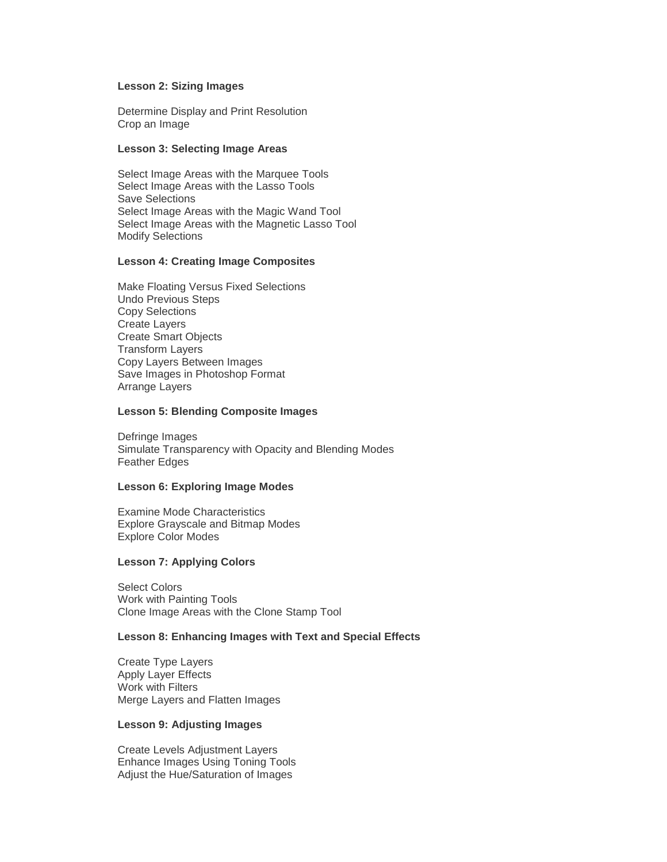#### **Lesson 2: Sizing Images**

Determine Display and Print Resolution Crop an Image

#### **Lesson 3: Selecting Image Areas**

Select Image Areas with the Marquee Tools Select Image Areas with the Lasso Tools Save Selections Select Image Areas with the Magic Wand Tool Select Image Areas with the Magnetic Lasso Tool Modify Selections

#### **Lesson 4: Creating Image Composites**

Make Floating Versus Fixed Selections Undo Previous Steps Copy Selections Create Layers Create Smart Objects Transform Layers Copy Layers Between Images Save Images in Photoshop Format Arrange Layers

#### **Lesson 5: Blending Composite Images**

Defringe Images Simulate Transparency with Opacity and Blending Modes Feather Edges

### **Lesson 6: Exploring Image Modes**

Examine Mode Characteristics Explore Grayscale and Bitmap Modes Explore Color Modes

#### **Lesson 7: Applying Colors**

Select Colors Work with Painting Tools Clone Image Areas with the Clone Stamp Tool

#### **Lesson 8: Enhancing Images with Text and Special Effects**

Create Type Layers Apply Layer Effects Work with Filters Merge Layers and Flatten Images

#### **Lesson 9: Adjusting Images**

Create Levels Adjustment Layers Enhance Images Using Toning Tools Adjust the Hue/Saturation of Images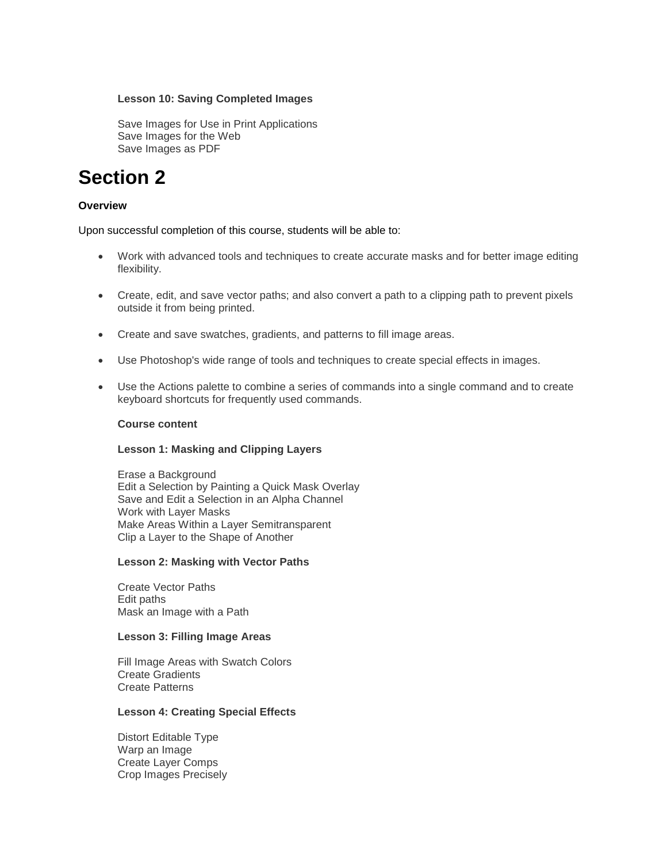#### **Lesson 10: Saving Completed Images**

Save Images for Use in Print Applications Save Images for the Web Save Images as PDF

## **Section 2**

## **Overview**

Upon successful completion of this course, students will be able to:

- Work with advanced tools and techniques to create accurate masks and for better image editing flexibility.
- Create, edit, and save vector paths; and also convert a path to a clipping path to prevent pixels outside it from being printed.
- Create and save swatches, gradients, and patterns to fill image areas.
- Use Photoshop's wide range of tools and techniques to create special effects in images.
- Use the Actions palette to combine a series of commands into a single command and to create keyboard shortcuts for frequently used commands.

#### **Course content**

### **Lesson 1: Masking and Clipping Layers**

Erase a Background Edit a Selection by Painting a Quick Mask Overlay Save and Edit a Selection in an Alpha Channel Work with Layer Masks Make Areas Within a Layer Semitransparent Clip a Layer to the Shape of Another

#### **Lesson 2: Masking with Vector Paths**

Create Vector Paths Edit paths Mask an Image with a Path

## **Lesson 3: Filling Image Areas**

Fill Image Areas with Swatch Colors Create Gradients Create Patterns

#### **Lesson 4: Creating Special Effects**

Distort Editable Type Warp an Image Create Layer Comps Crop Images Precisely